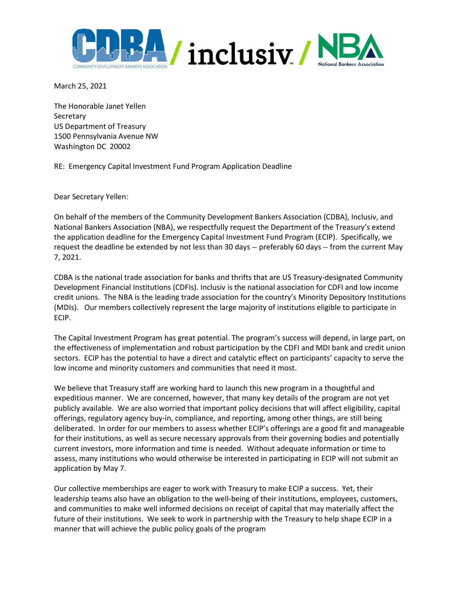

March 25, 2021

The Honorable Janet Yellen **Secretary** US Department of Treasury 1500 Pennsylvania Avenue NW Washington DC 20002

RE: Emergency Capital Investment Fund Program Application Deadline

Dear Secretary Yellen:

On behalf of the members of the Community Development Bankers Association (CDBA), Inclusiv, and National Bankers Association (NBA), we respectfully request the Department of the Treasury's extend the application deadline for the Emergency Capital Investment Fund Program (ECIP). Specifically, we request the deadline be extended by not less than 30 days -- preferably 60 days -- from the current May 7, 2021.

CDBA is the national trade association for banks and thrifts that are US Treasury-designated Community Development Financial Institutions (CDFIs). Inclusiv is the national association for CDFI and low income credit unions. The NBA is the leading trade association for the country's Minority Depository Institutions (MDIs). Our members collectively represent the large majority of institutions eligible to participate in ECIP.

The Capital Investment Program has great potential. The program's success will depend, in large part, on the effectiveness of implementation and robust participation by the CDFI and MDI bank and credit union sectors. ECIP has the potential to have a direct and catalytic effect on participants' capacity to serve the low income and minority customers and communities that need it most.

We believe that Treasury staff are working hard to launch this new program in a thoughtful and expeditious manner. We are concerned, however, that many key details of the program are not yet publicly available. We are also worried that important policy decisions that will affect eligibility, capital offerings, regulatory agency buy-in, compliance, and reporting, among other things, are still being deliberated. In order for our members to assess whether ECIP's offerings are a good fit and manageable for their institutions, as well as secure necessary approvals from their governing bodies and potentially current investors, more information and time is needed. Without adequate information or time to assess, many institutions who would otherwise be interested in participating in ECIP will not submit an application by May 7.

Our collective memberships are eager to work with Treasury to make ECIP a success. Yet, their leadership teams also have an obligation to the well-being of their institutions, employees, customers, and communities to make well informed decisions on receipt of capital that may materially affect the future of their institutions. We seek to work in partnership with the Treasury to help shape ECIP in a manner that will achieve the public policy goals of the program